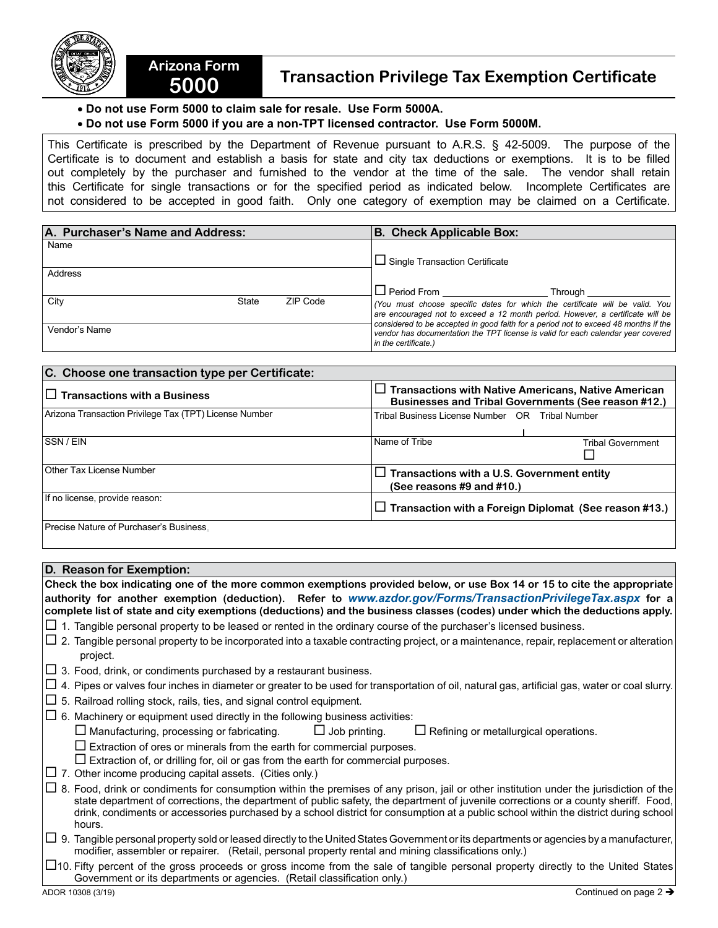

## **5000 Transaction Privilege Tax Exemption Certificate**

## • **Do not use Form 5000 to claim sale for resale. Use Form 5000A.**

**Arizona Form** 

## • **Do not use Form 5000 if you are a non-TPT licensed contractor. Use Form 5000M.**

This Certificate is prescribed by the Department of Revenue pursuant to A.R.S. § 42-5009. The purpose of the Certificate is to document and establish a basis for state and city tax deductions or exemptions. It is to be filled out completely by the purchaser and furnished to the vendor at the time of the sale. The vendor shall retain this Certificate for single transactions or for the specified period as indicated below. Incomplete Certificates are not considered to be accepted in good faith. Only one category of exemption may be claimed on a Certificate.

| A. Purchaser's Name and Address: |       |          | <b>B. Check Applicable Box:</b>                                                                                                                                       |
|----------------------------------|-------|----------|-----------------------------------------------------------------------------------------------------------------------------------------------------------------------|
| Name                             |       |          |                                                                                                                                                                       |
|                                  |       |          | $\Box$ Single Transaction Certificate                                                                                                                                 |
| Address                          |       |          |                                                                                                                                                                       |
|                                  |       |          | $\Box$ Period From _____________<br>Throuah                                                                                                                           |
| City                             | State | ZIP Code | (You must choose specific dates for which the certificate will be valid. You                                                                                          |
|                                  |       |          | are encouraged not to exceed a 12 month period. However, a certificate will be<br>considered to be accepted in good faith for a period not to exceed 48 months if the |
| Vendor's Name                    |       |          | vendor has documentation the TPT license is valid for each calendar year covered                                                                                      |
|                                  |       |          | in the certificate.)                                                                                                                                                  |

| C. Choose one transaction type per Certificate:        |                                                                                                                          |  |  |
|--------------------------------------------------------|--------------------------------------------------------------------------------------------------------------------------|--|--|
| $\Box$ Transactions with a Business                    | $\Box$ Transactions with Native Americans, Native American<br><b>Businesses and Tribal Governments (See reason #12.)</b> |  |  |
| Arizona Transaction Privilege Tax (TPT) License Number | Tribal Business License Number OR Tribal Number                                                                          |  |  |
| SSN / EIN                                              | Name of Tribe<br><b>Tribal Government</b>                                                                                |  |  |
| Other Tax License Number                               | $\Box$ Transactions with a U.S. Government entity<br>(See reasons #9 and #10.)                                           |  |  |
| If no license, provide reason:                         | $\Box$ Transaction with a Foreign Diplomat (See reason #13.)                                                             |  |  |
| Precise Nature of Purchaser's Business.                |                                                                                                                          |  |  |

## **D. Reason for Exemption:**

**Check the box indicating one of the more common exemptions provided below, or use Box 14 or 15 to cite the appropriate authority for another exemption (deduction). Refer to** *www.azdor.gov/Forms/TransactionPrivilegeTax.aspx* **for a complete list of state and city exemptions (deductions) and the business classes (codes) under which the deductions apply.**   $\Box$  1. Tangible personal property to be leased or rented in the ordinary course of the purchaser's licensed business.  $\Box$  2. Tangible personal property to be incorporated into a taxable contracting project, or a maintenance, repair, replacement or alteration project.  $\Box$  3. Food, drink, or condiments purchased by a restaurant business.  $\Box$  4. Pipes or valves four inches in diameter or greater to be used for transportation of oil, natural gas, artificial gas, water or coal slurry.  $\Box$  5. Railroad rolling stock, rails, ties, and signal control equipment.  $\Box$  6. Machinery or equipment used directly in the following business activities:  $\Box$  Manufacturing, processing or fabricating.  $\Box$  Job printing.  $\Box$  Refining or metallurgical operations.  $\square$  Extraction of ores or minerals from the earth for commercial purposes.  $\square$  Extraction of, or drilling for, oil or gas from the earth for commercial purposes.  $\Box$  7. Other income producing capital assets. (Cities only.)  $\Box$  8. Food, drink or condiments for consumption within the premises of any prison, iail or other institution under the iurisdiction of the state department of corrections, the department of public safety, the department of juvenile corrections or a county sheriff. Food, drink, condiments or accessories purchased by a school district for consumption at a public school within the district during school hours.  $\Box$  9. Tangible personal property sold or leased directly to the United States Government or its departments or agencies by a manufacturer, modifier, assembler or repairer. (Retail, personal property rental and mining classifications only.)

 $\Box$ 10. Fifty percent of the gross proceeds or gross income from the sale of tangible personal property directly to the United States Government or its departments or agencies. (Retail classification only.)